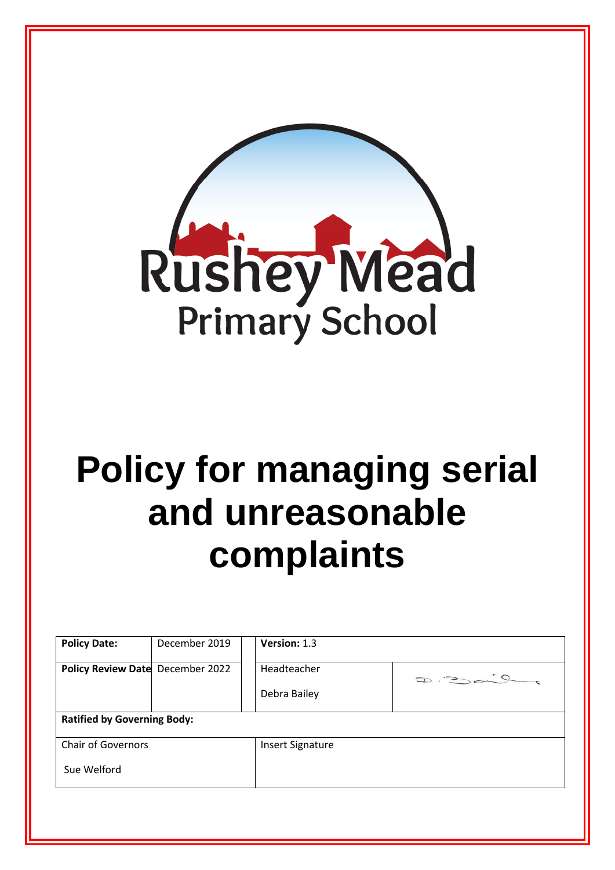

## **Policy for managing serial and unreasonable complaints**

| Policy Review Date December 2022   |  | Headteacher             | $D = 20$ |
|------------------------------------|--|-------------------------|----------|
|                                    |  | Debra Bailey            |          |
| <b>Ratified by Governing Body:</b> |  |                         |          |
| <b>Chair of Governors</b>          |  | <b>Insert Signature</b> |          |
| Sue Welford                        |  |                         |          |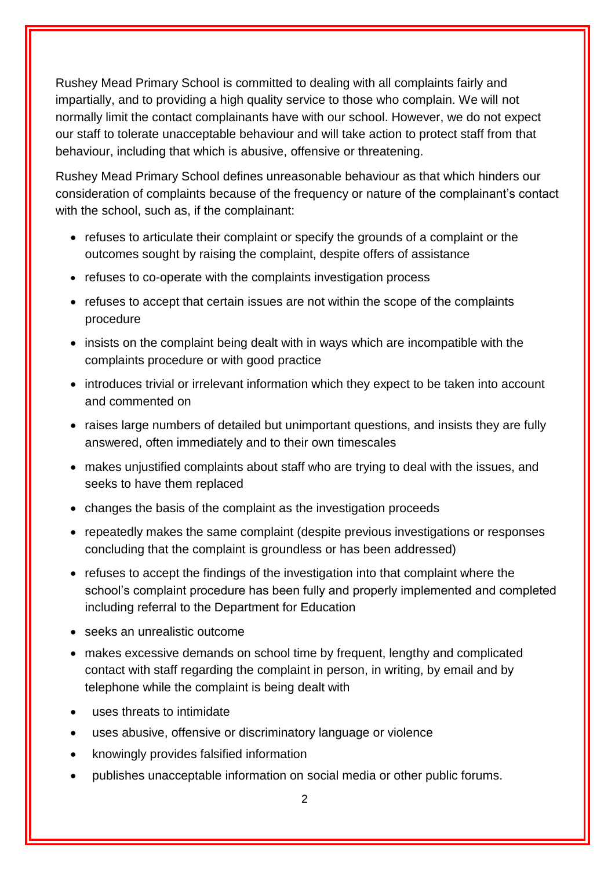Rushey Mead Primary School is committed to dealing with all complaints fairly and impartially, and to providing a high quality service to those who complain. We will not normally limit the contact complainants have with our school. However, we do not expect our staff to tolerate unacceptable behaviour and will take action to protect staff from that behaviour, including that which is abusive, offensive or threatening.

Rushey Mead Primary School defines unreasonable behaviour as that which hinders our consideration of complaints because of the frequency or nature of the complainant's contact with the school, such as, if the complainant:

- refuses to articulate their complaint or specify the grounds of a complaint or the outcomes sought by raising the complaint, despite offers of assistance
- refuses to co-operate with the complaints investigation process
- refuses to accept that certain issues are not within the scope of the complaints procedure
- insists on the complaint being dealt with in ways which are incompatible with the complaints procedure or with good practice
- introduces trivial or irrelevant information which they expect to be taken into account and commented on
- raises large numbers of detailed but unimportant questions, and insists they are fully answered, often immediately and to their own timescales
- makes unjustified complaints about staff who are trying to deal with the issues, and seeks to have them replaced
- changes the basis of the complaint as the investigation proceeds
- repeatedly makes the same complaint (despite previous investigations or responses concluding that the complaint is groundless or has been addressed)
- refuses to accept the findings of the investigation into that complaint where the school's complaint procedure has been fully and properly implemented and completed including referral to the Department for Education
- seeks an unrealistic outcome
- makes excessive demands on school time by frequent, lengthy and complicated contact with staff regarding the complaint in person, in writing, by email and by telephone while the complaint is being dealt with
- uses threats to intimidate
- uses abusive, offensive or discriminatory language or violence
- knowingly provides falsified information
- publishes unacceptable information on social media or other public forums.